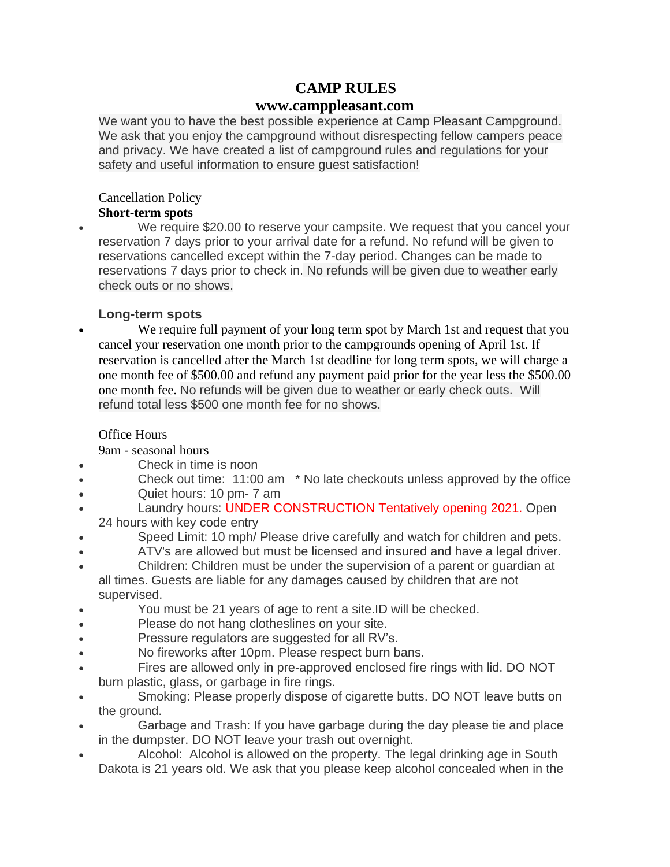# **CAMP RULES**

## **www.camppleasant.com**

We want you to have the best possible experience at Camp Pleasant Campground. We ask that you enjoy the campground without disrespecting fellow campers peace and privacy. We have created a list of campground rules and regulations for your safety and useful information to ensure guest satisfaction!

## Cancellation Policy

#### **Short-term spots**

• We require \$20.00 to reserve your campsite. We request that you cancel your reservation 7 days prior to your arrival date for a refund. No refund will be given to reservations cancelled except within the 7-day period. Changes can be made to reservations 7 days prior to check in. No refunds will be given due to weather early check outs or no shows.

## **Long-term spots**

We require full payment of your long term spot by March 1st and request that you cancel your reservation one month prior to the campgrounds opening of April 1st. If reservation is cancelled after the March 1st deadline for long term spots, we will charge a one month fee of \$500.00 and refund any payment paid prior for the year less the \$500.00 one month fee. No refunds will be given due to weather or early check outs. Will refund total less \$500 one month fee for no shows.

### Office Hours

9am - seasonal hours

- Check in time is noon
- Check out time: 11:00 am \* No late checkouts unless approved by the office
- Quiet hours: 10 pm- 7 am
- Laundry hours: UNDER CONSTRUCTION Tentatively opening 2021. Open 24 hours with key code entry
- Speed Limit: 10 mph/ Please drive carefully and watch for children and pets.
- ATV's are allowed but must be licensed and insured and have a legal driver.
- Children: Children must be under the supervision of a parent or guardian at all times. Guests are liable for any damages caused by children that are not supervised.
- You must be 21 years of age to rent a site.ID will be checked.
- Please do not hang clotheslines on your site.
- Pressure regulators are suggested for all RV's.
- No fireworks after 10pm. Please respect burn bans.
- Fires are allowed only in pre-approved enclosed fire rings with lid. DO NOT burn plastic, glass, or garbage in fire rings.
- Smoking: Please properly dispose of cigarette butts. DO NOT leave butts on the ground.
- Garbage and Trash: If you have garbage during the day please tie and place in the dumpster. DO NOT leave your trash out overnight.
- Alcohol: Alcohol is allowed on the property. The legal drinking age in South Dakota is 21 years old. We ask that you please keep alcohol concealed when in the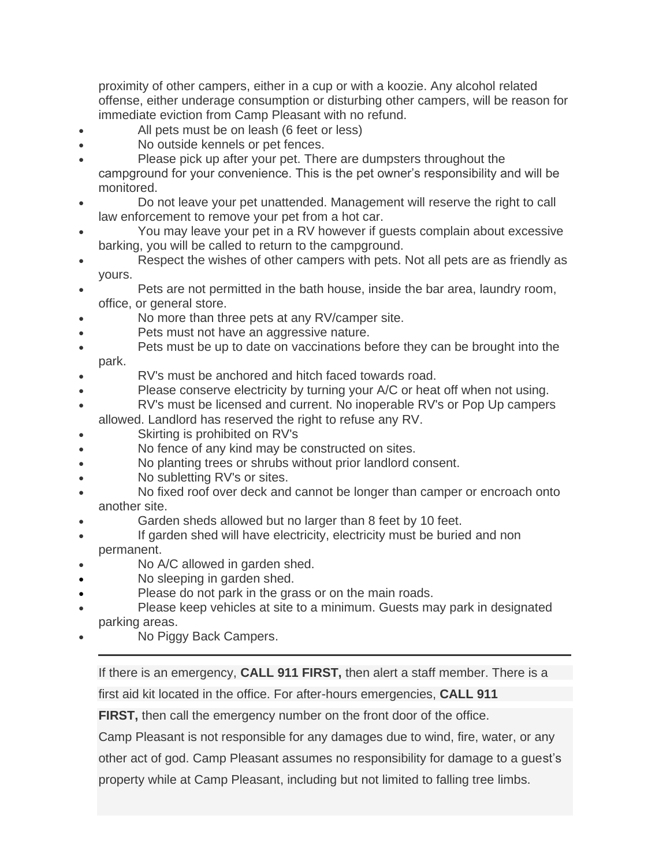proximity of other campers, either in a cup or with a koozie. Any alcohol related offense, either underage consumption or disturbing other campers, will be reason for immediate eviction from Camp Pleasant with no refund.

- All pets must be on leash (6 feet or less)
- No outside kennels or pet fences.
- Please pick up after your pet. There are dumpsters throughout the campground for your convenience. This is the pet owner's responsibility and will be monitored.
- Do not leave your pet unattended. Management will reserve the right to call law enforcement to remove your pet from a hot car.
- You may leave your pet in a RV however if guests complain about excessive barking, you will be called to return to the campground.
- Respect the wishes of other campers with pets. Not all pets are as friendly as yours.
- Pets are not permitted in the bath house, inside the bar area, laundry room, office, or general store.
- No more than three pets at any RV/camper site.
- Pets must not have an aggressive nature.
- Pets must be up to date on vaccinations before they can be brought into the park.

- RV's must be anchored and hitch faced towards road.
- Please conserve electricity by turning your A/C or heat off when not using.
- RV's must be licensed and current. No inoperable RV's or Pop Up campers allowed. Landlord has reserved the right to refuse any RV.
- Skirting is prohibited on RV's
- No fence of any kind may be constructed on sites.
- No planting trees or shrubs without prior landlord consent.
- No subletting RV's or sites.
- No fixed roof over deck and cannot be longer than camper or encroach onto another site.
- Garden sheds allowed but no larger than 8 feet by 10 feet.
- If garden shed will have electricity, electricity must be buried and non permanent.
- No A/C allowed in garden shed.
- No sleeping in garden shed.
- Please do not park in the grass or on the main roads.
- Please keep vehicles at site to a minimum. Guests may park in designated parking areas.
- No Piggy Back Campers.

If there is an emergency, **CALL 911 FIRST,** then alert a staff member. There is a

first aid kit located in the office. For after-hours emergencies, **CALL 911**

**FIRST,** then call the emergency number on the front door of the office.

Camp Pleasant is not responsible for any damages due to wind, fire, water, or any

other act of god. Camp Pleasant assumes no responsibility for damage to a guest's

property while at Camp Pleasant, including but not limited to falling tree limbs.